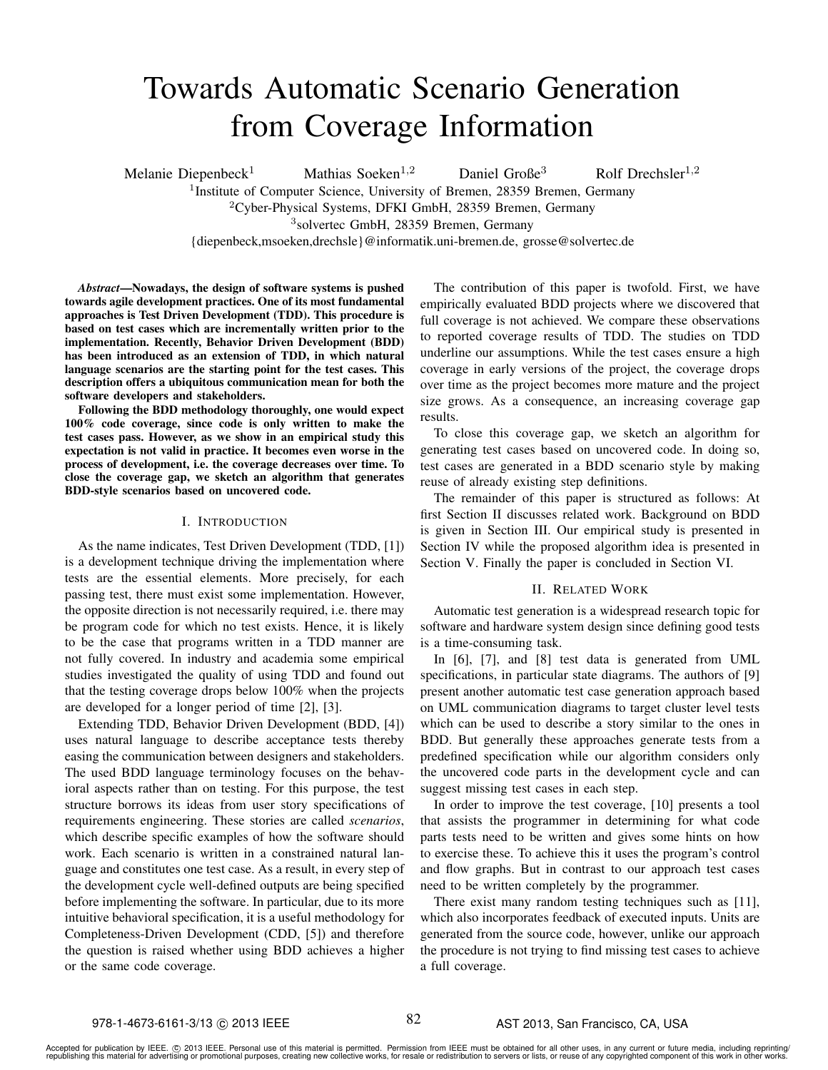# Towards Automatic Scenario Generation from Coverage Information

Melanie Diepenbeck<sup>1</sup> Mathias Soeken<sup>1,2</sup> Daniel Große<sup>3</sup> Rolf Drechsler<sup>1,2</sup> <sup>1</sup>Institute of Computer Science, University of Bremen, 28359 Bremen, Germany <sup>2</sup>Cyber-Physical Systems, DFKI GmbH, 28359 Bremen, Germany 3 solvertec GmbH, 28359 Bremen, Germany {diepenbeck,msoeken,drechsle}@informatik.uni-bremen.de, grosse@solvertec.de

*Abstract*—Nowadays, the design of software systems is pushed towards agile development practices. One of its most fundamental approaches is Test Driven Development (TDD). This procedure is based on test cases which are incrementally written prior to the implementation. Recently, Behavior Driven Development (BDD) has been introduced as an extension of TDD, in which natural language scenarios are the starting point for the test cases. This description offers a ubiquitous communication mean for both the software developers and stakeholders.

Following the BDD methodology thoroughly, one would expect 100% code coverage, since code is only written to make the test cases pass. However, as we show in an empirical study this expectation is not valid in practice. It becomes even worse in the process of development, i.e. the coverage decreases over time. To close the coverage gap, we sketch an algorithm that generates BDD-style scenarios based on uncovered code.

# I. INTRODUCTION

As the name indicates, Test Driven Development (TDD, [1]) is a development technique driving the implementation where tests are the essential elements. More precisely, for each passing test, there must exist some implementation. However, the opposite direction is not necessarily required, i.e. there may be program code for which no test exists. Hence, it is likely to be the case that programs written in a TDD manner are not fully covered. In industry and academia some empirical studies investigated the quality of using TDD and found out that the testing coverage drops below 100% when the projects are developed for a longer period of time [2], [3].

Extending TDD, Behavior Driven Development (BDD, [4]) uses natural language to describe acceptance tests thereby easing the communication between designers and stakeholders. The used BDD language terminology focuses on the behavioral aspects rather than on testing. For this purpose, the test structure borrows its ideas from user story specifications of requirements engineering. These stories are called *scenarios*, which describe specific examples of how the software should work. Each scenario is written in a constrained natural language and constitutes one test case. As a result, in every step of the development cycle well-defined outputs are being specified before implementing the software. In particular, due to its more intuitive behavioral specification, it is a useful methodology for Completeness-Driven Development (CDD, [5]) and therefore the question is raised whether using BDD achieves a higher or the same code coverage.

The contribution of this paper is twofold. First, we have empirically evaluated BDD projects where we discovered that full coverage is not achieved. We compare these observations to reported coverage results of TDD. The studies on TDD underline our assumptions. While the test cases ensure a high coverage in early versions of the project, the coverage drops over time as the project becomes more mature and the project size grows. As a consequence, an increasing coverage gap results.

To close this coverage gap, we sketch an algorithm for generating test cases based on uncovered code. In doing so, test cases are generated in a BDD scenario style by making reuse of already existing step definitions.

The remainder of this paper is structured as follows: At first Section II discusses related work. Background on BDD is given in Section III. Our empirical study is presented in Section IV while the proposed algorithm idea is presented in Section V. Finally the paper is concluded in Section VI.

# II. RELATED WORK

Automatic test generation is a widespread research topic for software and hardware system design since defining good tests is a time-consuming task.

In [6], [7], and [8] test data is generated from UML specifications, in particular state diagrams. The authors of [9] present another automatic test case generation approach based on UML communication diagrams to target cluster level tests which can be used to describe a story similar to the ones in BDD. But generally these approaches generate tests from a predefined specification while our algorithm considers only the uncovered code parts in the development cycle and can suggest missing test cases in each step.

In order to improve the test coverage, [10] presents a tool that assists the programmer in determining for what code parts tests need to be written and gives some hints on how to exercise these. To achieve this it uses the program's control and flow graphs. But in contrast to our approach test cases need to be written completely by the programmer.

There exist many random testing techniques such as [11], which also incorporates feedback of executed inputs. Units are generated from the source code, however, unlike our approach the procedure is not trying to find missing test cases to achieve a full coverage.

82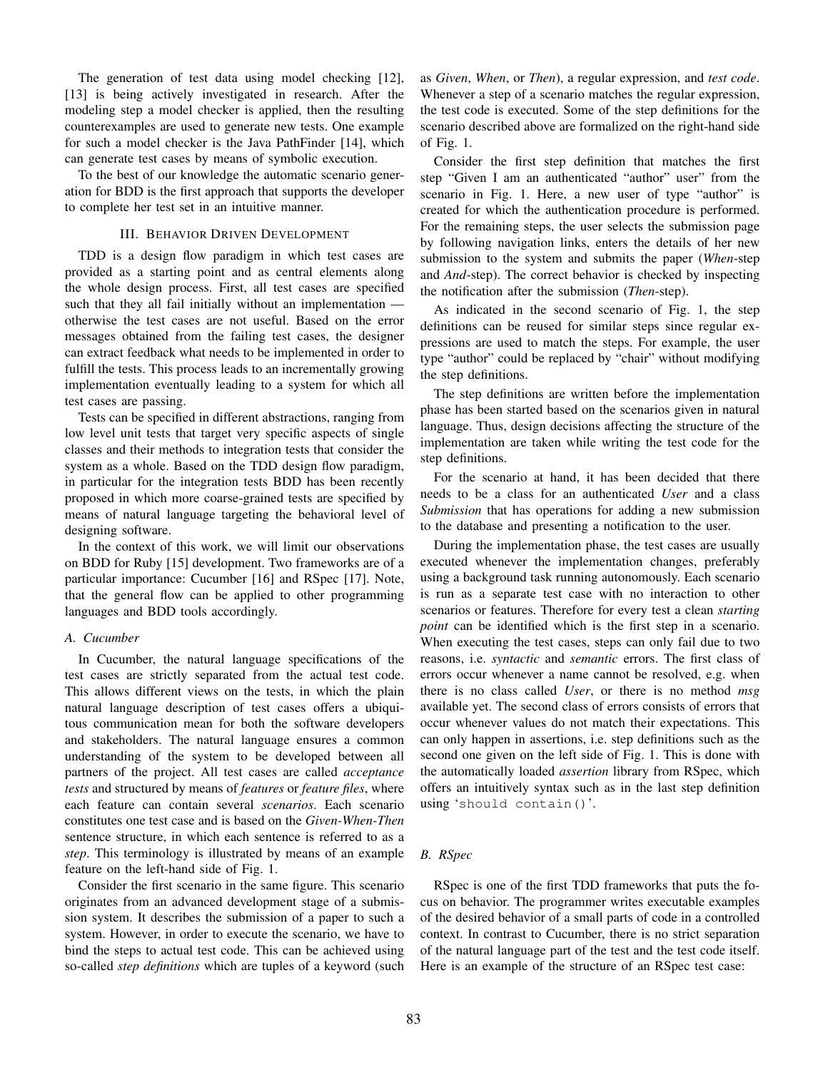The generation of test data using model checking [12], [13] is being actively investigated in research. After the modeling step a model checker is applied, then the resulting counterexamples are used to generate new tests. One example for such a model checker is the Java PathFinder [14], which can generate test cases by means of symbolic execution.

To the best of our knowledge the automatic scenario generation for BDD is the first approach that supports the developer to complete her test set in an intuitive manner.

# III. BEHAVIOR DRIVEN DEVELOPMENT

TDD is a design flow paradigm in which test cases are provided as a starting point and as central elements along the whole design process. First, all test cases are specified such that they all fail initially without an implementation otherwise the test cases are not useful. Based on the error messages obtained from the failing test cases, the designer can extract feedback what needs to be implemented in order to fulfill the tests. This process leads to an incrementally growing implementation eventually leading to a system for which all test cases are passing.

Tests can be specified in different abstractions, ranging from low level unit tests that target very specific aspects of single classes and their methods to integration tests that consider the system as a whole. Based on the TDD design flow paradigm, in particular for the integration tests BDD has been recently proposed in which more coarse-grained tests are specified by means of natural language targeting the behavioral level of designing software.

In the context of this work, we will limit our observations on BDD for Ruby [15] development. Two frameworks are of a particular importance: Cucumber [16] and RSpec [17]. Note, that the general flow can be applied to other programming languages and BDD tools accordingly.

# *A. Cucumber*

In Cucumber, the natural language specifications of the test cases are strictly separated from the actual test code. This allows different views on the tests, in which the plain natural language description of test cases offers a ubiquitous communication mean for both the software developers and stakeholders. The natural language ensures a common understanding of the system to be developed between all partners of the project. All test cases are called *acceptance tests* and structured by means of *features* or *feature files*, where each feature can contain several *scenarios*. Each scenario constitutes one test case and is based on the *Given-When-Then* sentence structure, in which each sentence is referred to as a *step*. This terminology is illustrated by means of an example feature on the left-hand side of Fig. 1.

Consider the first scenario in the same figure. This scenario originates from an advanced development stage of a submission system. It describes the submission of a paper to such a system. However, in order to execute the scenario, we have to bind the steps to actual test code. This can be achieved using so-called *step definitions* which are tuples of a keyword (such as *Given*, *When*, or *Then*), a regular expression, and *test code*. Whenever a step of a scenario matches the regular expression, the test code is executed. Some of the step definitions for the scenario described above are formalized on the right-hand side of Fig. 1.

Consider the first step definition that matches the first step "Given I am an authenticated "author" user" from the scenario in Fig. 1. Here, a new user of type "author" is created for which the authentication procedure is performed. For the remaining steps, the user selects the submission page by following navigation links, enters the details of her new submission to the system and submits the paper (*When*-step and *And*-step). The correct behavior is checked by inspecting the notification after the submission (*Then*-step).

As indicated in the second scenario of Fig. 1, the step definitions can be reused for similar steps since regular expressions are used to match the steps. For example, the user type "author" could be replaced by "chair" without modifying the step definitions.

The step definitions are written before the implementation phase has been started based on the scenarios given in natural language. Thus, design decisions affecting the structure of the implementation are taken while writing the test code for the step definitions.

For the scenario at hand, it has been decided that there needs to be a class for an authenticated *User* and a class *Submission* that has operations for adding a new submission to the database and presenting a notification to the user.

During the implementation phase, the test cases are usually executed whenever the implementation changes, preferably using a background task running autonomously. Each scenario is run as a separate test case with no interaction to other scenarios or features. Therefore for every test a clean *starting point* can be identified which is the first step in a scenario. When executing the test cases, steps can only fail due to two reasons, i.e. *syntactic* and *semantic* errors. The first class of errors occur whenever a name cannot be resolved, e.g. when there is no class called *User*, or there is no method *msg* available yet. The second class of errors consists of errors that occur whenever values do not match their expectations. This can only happen in assertions, i.e. step definitions such as the second one given on the left side of Fig. 1. This is done with the automatically loaded *assertion* library from RSpec, which offers an intuitively syntax such as in the last step definition using 'should contain()'.

# *B. RSpec*

RSpec is one of the first TDD frameworks that puts the focus on behavior. The programmer writes executable examples of the desired behavior of a small parts of code in a controlled context. In contrast to Cucumber, there is no strict separation of the natural language part of the test and the test code itself. Here is an example of the structure of an RSpec test case: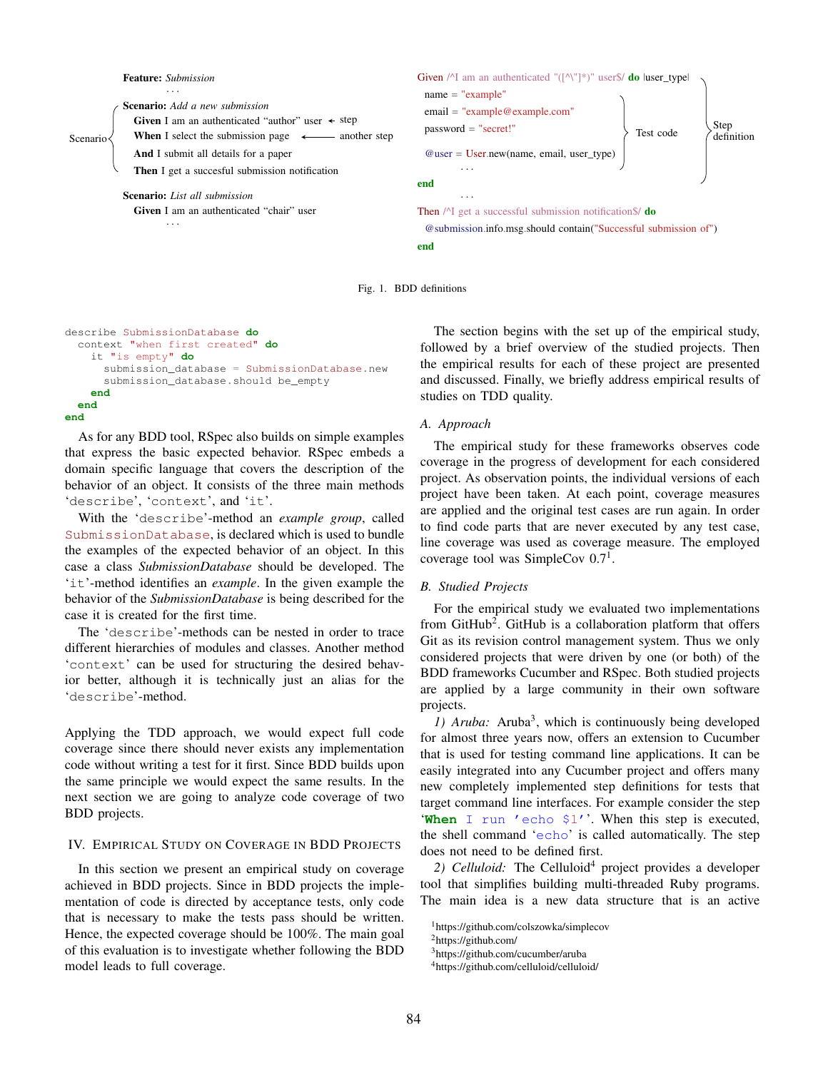

Fig. 1. BDD definitions

```
describe SubmissionDatabase do
  context "when first created" do
    it "is empty" do
      submission_database = SubmissionDatabase.new
      submission_database.should be_empty
    end
  end
end
```
As for any BDD tool, RSpec also builds on simple examples that express the basic expected behavior. RSpec embeds a domain specific language that covers the description of the behavior of an object. It consists of the three main methods 'describe', 'context', and 'it'.

With the 'describe'-method an *example group*, called SubmissionDatabase, is declared which is used to bundle the examples of the expected behavior of an object. In this case a class *SubmissionDatabase* should be developed. The 'it'-method identifies an *example*. In the given example the behavior of the *SubmissionDatabase* is being described for the case it is created for the first time.

The 'describe'-methods can be nested in order to trace different hierarchies of modules and classes. Another method 'context' can be used for structuring the desired behavior better, although it is technically just an alias for the 'describe'-method.

Applying the TDD approach, we would expect full code coverage since there should never exists any implementation code without writing a test for it first. Since BDD builds upon the same principle we would expect the same results. In the next section we are going to analyze code coverage of two BDD projects.

# IV. EMPIRICAL STUDY ON COVERAGE IN BDD PROJECTS

In this section we present an empirical study on coverage achieved in BDD projects. Since in BDD projects the implementation of code is directed by acceptance tests, only code that is necessary to make the tests pass should be written. Hence, the expected coverage should be 100%. The main goal of this evaluation is to investigate whether following the BDD model leads to full coverage.

The section begins with the set up of the empirical study, followed by a brief overview of the studied projects. Then the empirical results for each of these project are presented and discussed. Finally, we briefly address empirical results of studies on TDD quality.

# *A. Approach*

The empirical study for these frameworks observes code coverage in the progress of development for each considered project. As observation points, the individual versions of each project have been taken. At each point, coverage measures are applied and the original test cases are run again. In order to find code parts that are never executed by any test case, line coverage was used as coverage measure. The employed coverage tool was SimpleCov  $0.7<sup>1</sup>$ .

## *B. Studied Projects*

For the empirical study we evaluated two implementations from GitHub<sup>2</sup>. GitHub is a collaboration platform that offers Git as its revision control management system. Thus we only considered projects that were driven by one (or both) of the BDD frameworks Cucumber and RSpec. Both studied projects are applied by a large community in their own software projects.

1) Aruba: Aruba<sup>3</sup>, which is continuously being developed for almost three years now, offers an extension to Cucumber that is used for testing command line applications. It can be easily integrated into any Cucumber project and offers many new completely implemented step definitions for tests that target command line interfaces. For example consider the step 'When I run 'echo \$1''. When this step is executed, the shell command 'echo' is called automatically. The step does not need to be defined first.

2) Celluloid: The Celluloid<sup>4</sup> project provides a developer tool that simplifies building multi-threaded Ruby programs. The main idea is a new data structure that is an active

<sup>1</sup>https://github.com/colszowka/simplecov

<sup>2</sup>https://github.com/

<sup>3</sup>https://github.com/cucumber/aruba

<sup>4</sup>https://github.com/celluloid/celluloid/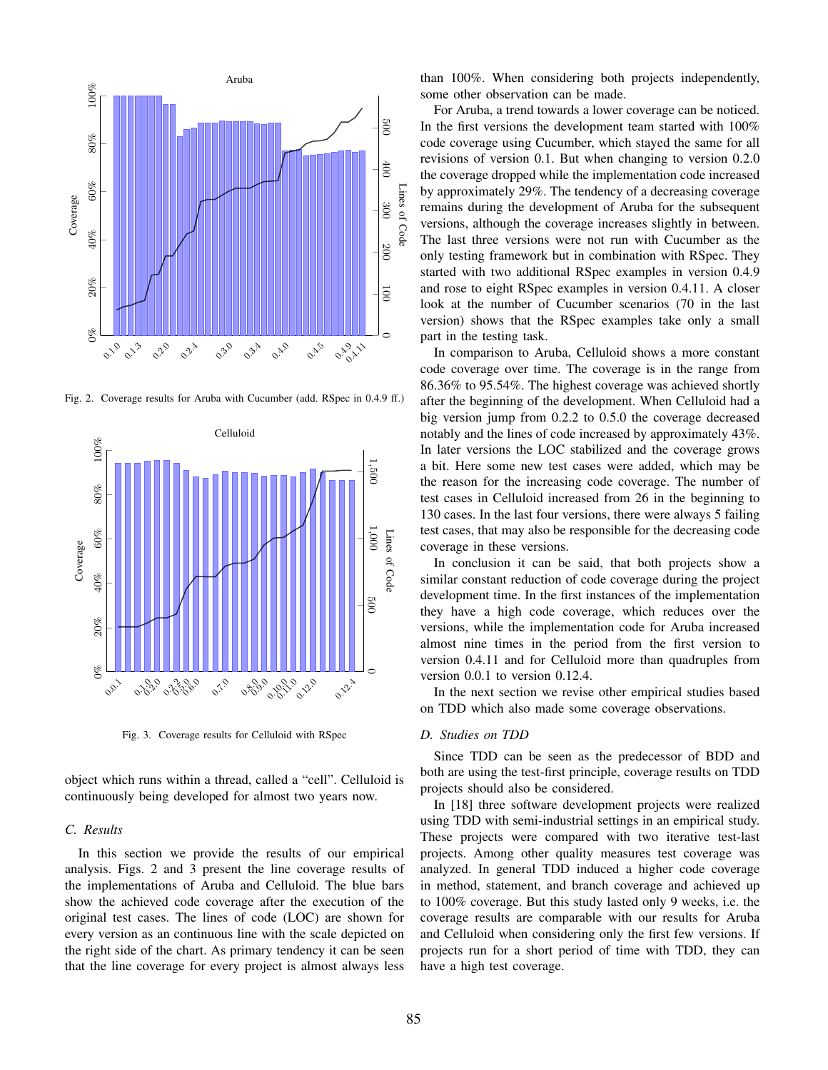

Fig. 2. Coverage results for Aruba with Cucumber (add. RSpec in 0.4.9 ff.)



Fig. 3. Coverage results for Celluloid with RSpec

object which runs within a thread, called a "cell". Celluloid is continuously being developed for almost two years now.

#### *C. Results*

In this section we provide the results of our empirical analysis. Figs. 2 and 3 present the line coverage results of the implementations of Aruba and Celluloid. The blue bars show the achieved code coverage after the execution of the original test cases. The lines of code (LOC) are shown for every version as an continuous line with the scale depicted on the right side of the chart. As primary tendency it can be seen that the line coverage for every project is almost always less

than 100%. When considering both projects independently, some other observation can be made.

For Aruba, a trend towards a lower coverage can be noticed. In the first versions the development team started with 100% code coverage using Cucumber, which stayed the same for all revisions of version 0.1. But when changing to version 0.2.0 the coverage dropped while the implementation code increased by approximately 29%. The tendency of a decreasing coverage remains during the development of Aruba for the subsequent versions, although the coverage increases slightly in between. The last three versions were not run with Cucumber as the only testing framework but in combination with RSpec. They started with two additional RSpec examples in version 0.4.9 and rose to eight RSpec examples in version 0.4.11. A closer look at the number of Cucumber scenarios (70 in the last version) shows that the RSpec examples take only a small part in the testing task.

In comparison to Aruba, Celluloid shows a more constant code coverage over time. The coverage is in the range from 86.36% to 95.54%. The highest coverage was achieved shortly after the beginning of the development. When Celluloid had a big version jump from 0.2.2 to 0.5.0 the coverage decreased notably and the lines of code increased by approximately 43%. In later versions the LOC stabilized and the coverage grows a bit. Here some new test cases were added, which may be the reason for the increasing code coverage. The number of test cases in Celluloid increased from 26 in the beginning to 130 cases. In the last four versions, there were always 5 failing test cases, that may also be responsible for the decreasing code coverage in these versions.

In conclusion it can be said, that both projects show a similar constant reduction of code coverage during the project development time. In the first instances of the implementation they have a high code coverage, which reduces over the versions, while the implementation code for Aruba increased almost nine times in the period from the first version to version 0.4.11 and for Celluloid more than quadruples from version 0.0.1 to version 0.12.4.

In the next section we revise other empirical studies based on TDD which also made some coverage observations.

## *D. Studies on TDD*

Since TDD can be seen as the predecessor of BDD and both are using the test-first principle, coverage results on TDD projects should also be considered.

In [18] three software development projects were realized using TDD with semi-industrial settings in an empirical study. These projects were compared with two iterative test-last projects. Among other quality measures test coverage was analyzed. In general TDD induced a higher code coverage in method, statement, and branch coverage and achieved up to 100% coverage. But this study lasted only 9 weeks, i.e. the coverage results are comparable with our results for Aruba and Celluloid when considering only the first few versions. If projects run for a short period of time with TDD, they can have a high test coverage.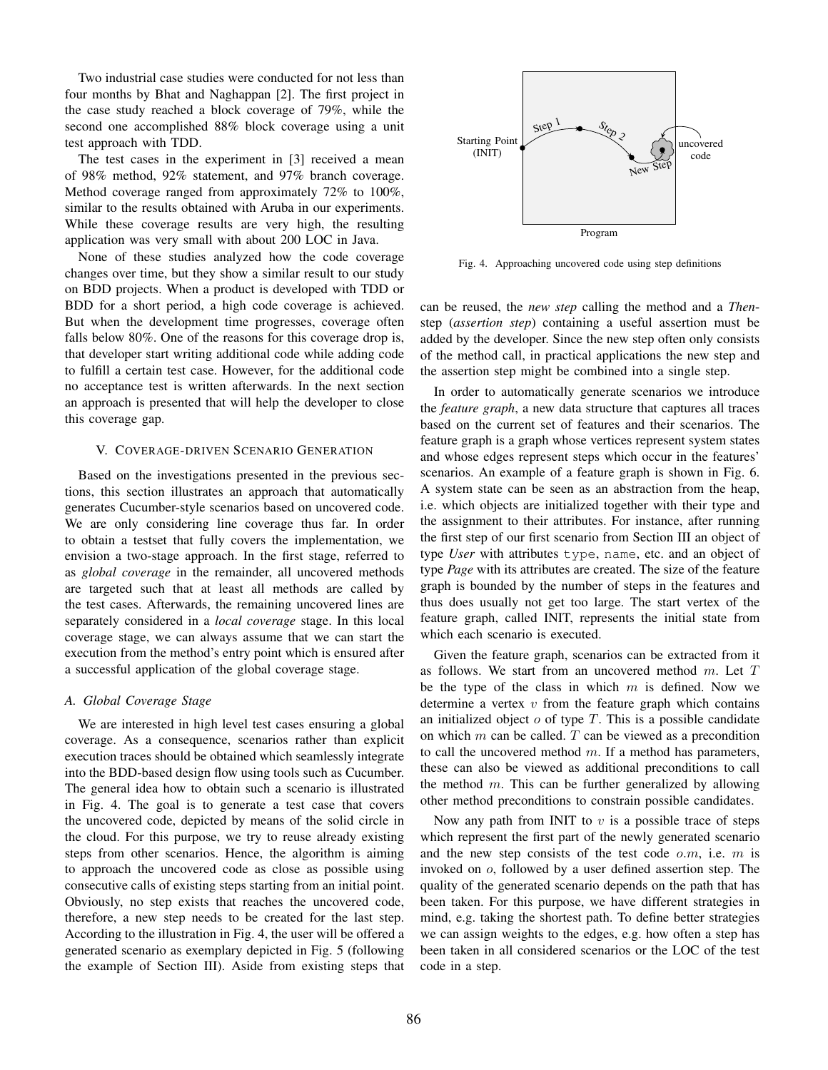Two industrial case studies were conducted for not less than four months by Bhat and Naghappan [2]. The first project in the case study reached a block coverage of 79%, while the second one accomplished 88% block coverage using a unit test approach with TDD.

The test cases in the experiment in [3] received a mean of 98% method, 92% statement, and 97% branch coverage. Method coverage ranged from approximately 72% to 100%, similar to the results obtained with Aruba in our experiments. While these coverage results are very high, the resulting application was very small with about 200 LOC in Java.

None of these studies analyzed how the code coverage changes over time, but they show a similar result to our study on BDD projects. When a product is developed with TDD or BDD for a short period, a high code coverage is achieved. But when the development time progresses, coverage often falls below 80%. One of the reasons for this coverage drop is, that developer start writing additional code while adding code to fulfill a certain test case. However, for the additional code no acceptance test is written afterwards. In the next section an approach is presented that will help the developer to close this coverage gap.

# V. COVERAGE-DRIVEN SCENARIO GENERATION

Based on the investigations presented in the previous sections, this section illustrates an approach that automatically generates Cucumber-style scenarios based on uncovered code. We are only considering line coverage thus far. In order to obtain a testset that fully covers the implementation, we envision a two-stage approach. In the first stage, referred to as *global coverage* in the remainder, all uncovered methods are targeted such that at least all methods are called by the test cases. Afterwards, the remaining uncovered lines are separately considered in a *local coverage* stage. In this local coverage stage, we can always assume that we can start the execution from the method's entry point which is ensured after a successful application of the global coverage stage.

#### *A. Global Coverage Stage*

We are interested in high level test cases ensuring a global coverage. As a consequence, scenarios rather than explicit execution traces should be obtained which seamlessly integrate into the BDD-based design flow using tools such as Cucumber. The general idea how to obtain such a scenario is illustrated in Fig. 4. The goal is to generate a test case that covers the uncovered code, depicted by means of the solid circle in the cloud. For this purpose, we try to reuse already existing steps from other scenarios. Hence, the algorithm is aiming to approach the uncovered code as close as possible using consecutive calls of existing steps starting from an initial point. Obviously, no step exists that reaches the uncovered code, therefore, a new step needs to be created for the last step. According to the illustration in Fig. 4, the user will be offered a generated scenario as exemplary depicted in Fig. 5 (following the example of Section III). Aside from existing steps that



Fig. 4. Approaching uncovered code using step definitions

can be reused, the *new step* calling the method and a *Then*step (*assertion step*) containing a useful assertion must be added by the developer. Since the new step often only consists of the method call, in practical applications the new step and the assertion step might be combined into a single step.

In order to automatically generate scenarios we introduce the *feature graph*, a new data structure that captures all traces based on the current set of features and their scenarios. The feature graph is a graph whose vertices represent system states and whose edges represent steps which occur in the features' scenarios. An example of a feature graph is shown in Fig. 6. A system state can be seen as an abstraction from the heap, i.e. which objects are initialized together with their type and the assignment to their attributes. For instance, after running the first step of our first scenario from Section III an object of type *User* with attributes type, name, etc. and an object of type *Page* with its attributes are created. The size of the feature graph is bounded by the number of steps in the features and thus does usually not get too large. The start vertex of the feature graph, called INIT, represents the initial state from which each scenario is executed.

Given the feature graph, scenarios can be extracted from it as follows. We start from an uncovered method m. Let T be the type of the class in which  $m$  is defined. Now we determine a vertex  $v$  from the feature graph which contains an initialized object  $o$  of type  $T$ . This is a possible candidate on which  $m$  can be called.  $T$  can be viewed as a precondition to call the uncovered method  $m$ . If a method has parameters, these can also be viewed as additional preconditions to call the method  $m$ . This can be further generalized by allowing other method preconditions to constrain possible candidates.

Now any path from INIT to  $v$  is a possible trace of steps which represent the first part of the newly generated scenario and the new step consists of the test code  $o.m$ , i.e. m is invoked on o, followed by a user defined assertion step. The quality of the generated scenario depends on the path that has been taken. For this purpose, we have different strategies in mind, e.g. taking the shortest path. To define better strategies we can assign weights to the edges, e.g. how often a step has been taken in all considered scenarios or the LOC of the test code in a step.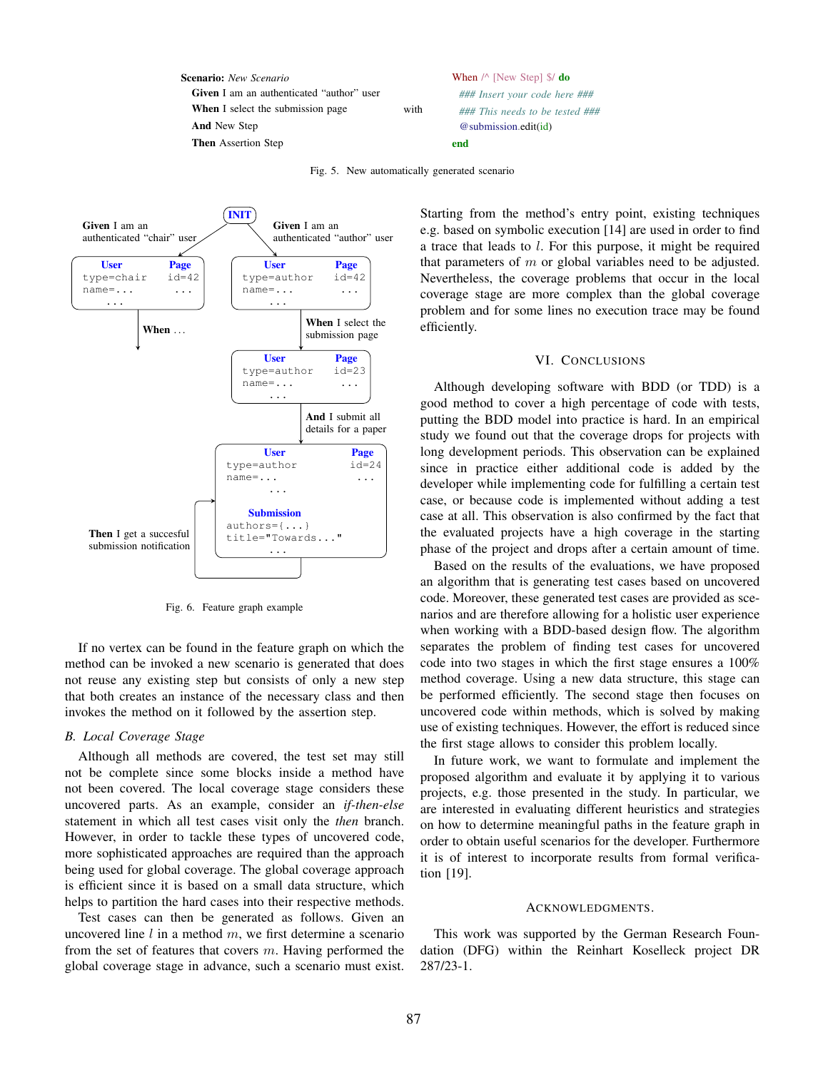| <b>Scenario:</b> New Scenario                    |      | When $\wedge$ [New Step] \$/ do |
|--------------------------------------------------|------|---------------------------------|
| <b>Given</b> I am an authenticated "author" user |      | ### Insert your code here ###   |
| <b>When</b> I select the submission page         | with | ### This needs to be tested ### |
| <b>And New Step</b>                              |      | @submission.edu(id)             |
| <b>Then</b> Assertion Step                       |      | end                             |

Fig. 5. New automatically generated scenario



Fig. 6. Feature graph example

If no vertex can be found in the feature graph on which the method can be invoked a new scenario is generated that does not reuse any existing step but consists of only a new step that both creates an instance of the necessary class and then invokes the method on it followed by the assertion step.

## *B. Local Coverage Stage*

Although all methods are covered, the test set may still not be complete since some blocks inside a method have not been covered. The local coverage stage considers these uncovered parts. As an example, consider an *if-then-else* statement in which all test cases visit only the *then* branch. However, in order to tackle these types of uncovered code, more sophisticated approaches are required than the approach being used for global coverage. The global coverage approach is efficient since it is based on a small data structure, which helps to partition the hard cases into their respective methods.

Test cases can then be generated as follows. Given an uncovered line  $l$  in a method  $m$ , we first determine a scenario from the set of features that covers  $m$ . Having performed the global coverage stage in advance, such a scenario must exist.

Starting from the method's entry point, existing techniques e.g. based on symbolic execution [14] are used in order to find a trace that leads to l. For this purpose, it might be required that parameters of  $m$  or global variables need to be adjusted. Nevertheless, the coverage problems that occur in the local coverage stage are more complex than the global coverage problem and for some lines no execution trace may be found efficiently.

# VI. CONCLUSIONS

Although developing software with BDD (or TDD) is a good method to cover a high percentage of code with tests, putting the BDD model into practice is hard. In an empirical study we found out that the coverage drops for projects with long development periods. This observation can be explained since in practice either additional code is added by the developer while implementing code for fulfilling a certain test case, or because code is implemented without adding a test case at all. This observation is also confirmed by the fact that the evaluated projects have a high coverage in the starting phase of the project and drops after a certain amount of time.

Based on the results of the evaluations, we have proposed an algorithm that is generating test cases based on uncovered code. Moreover, these generated test cases are provided as scenarios and are therefore allowing for a holistic user experience when working with a BDD-based design flow. The algorithm separates the problem of finding test cases for uncovered code into two stages in which the first stage ensures a 100% method coverage. Using a new data structure, this stage can be performed efficiently. The second stage then focuses on uncovered code within methods, which is solved by making use of existing techniques. However, the effort is reduced since the first stage allows to consider this problem locally.

In future work, we want to formulate and implement the proposed algorithm and evaluate it by applying it to various projects, e.g. those presented in the study. In particular, we are interested in evaluating different heuristics and strategies on how to determine meaningful paths in the feature graph in order to obtain useful scenarios for the developer. Furthermore it is of interest to incorporate results from formal verification [19].

#### ACKNOWLEDGMENTS.

This work was supported by the German Research Foundation (DFG) within the Reinhart Koselleck project DR 287/23-1.